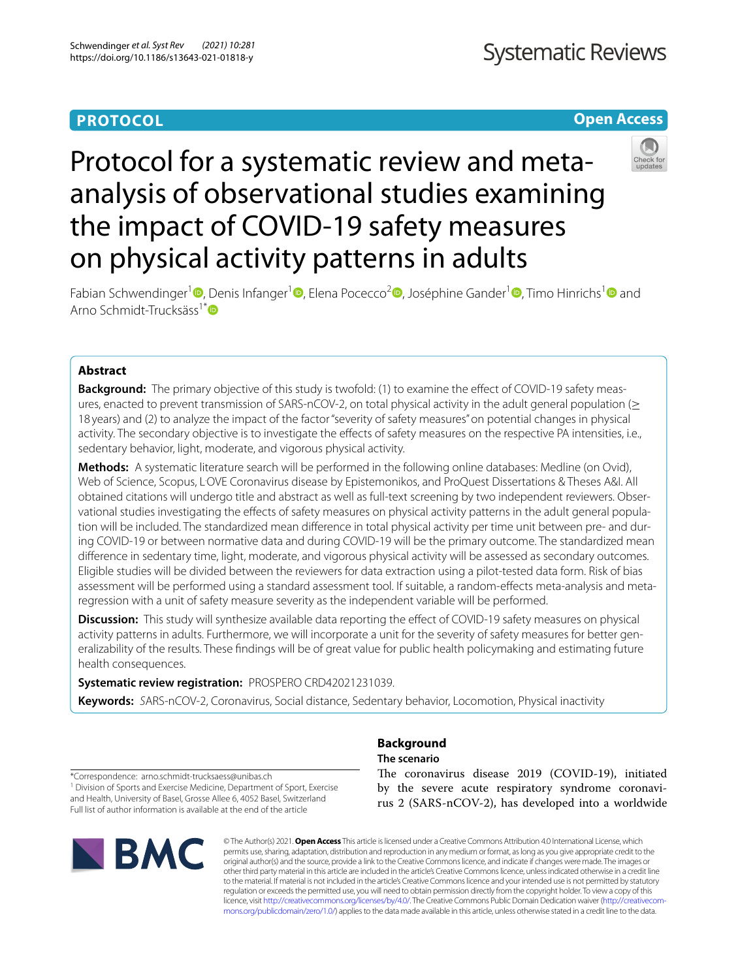# **PROTOCOL**

# **Open Access**



# Protocol for a systematic review and metaanalysis of observational studies examining the impact of COVID-19 safety measures on physical activity patterns in adults

Fabian Schwendinger<sup>1</sup><sup>®</sup>[,](https://orcid.org/0000-0002-3730-1961) Denis Infanger<sup>1</sup><sup>®</sup>[,](https://orcid.org/0000-0001-7774-7100) Elena Pocecco<sup>2</sup><sup>®</sup>, Joséphine Gander<sup>[1](https://orcid.org/0000-0001-6200-307X)</sup><sup>®</sup>, Timo Hinrichs<sup>1</sup><sup>®</sup> and Arno Schmidt-Trucksäss<sup>1[\\*](http://orcid.org/0000-0002-4662-3911)</sup>

# **Abstract**

**Background:** The primary objective of this study is twofold: (1) to examine the effect of COVID-19 safety measures, enacted to prevent transmission of SARS-nCOV-2, on total physical activity in the adult general population (> 18 years) and (2) to analyze the impact of the factor "severity of safety measures" on potential changes in physical activity. The secondary objective is to investigate the efects of safety measures on the respective PA intensities, i.e., sedentary behavior, light, moderate, and vigorous physical activity.

**Methods:** A systematic literature search will be performed in the following online databases: Medline (on Ovid), Web of Science, Scopus, L<sup>.</sup>OVE Coronavirus disease by Epistemonikos, and ProQuest Dissertations & Theses A&I. All obtained citations will undergo title and abstract as well as full-text screening by two independent reviewers. Obser‑ vational studies investigating the effects of safety measures on physical activity patterns in the adult general population will be included. The standardized mean difference in total physical activity per time unit between pre- and during COVID-19 or between normative data and during COVID-19 will be the primary outcome. The standardized mean diference in sedentary time, light, moderate, and vigorous physical activity will be assessed as secondary outcomes. Eligible studies will be divided between the reviewers for data extraction using a pilot-tested data form. Risk of bias assessment will be performed using a standard assessment tool. If suitable, a random-efects meta-analysis and metaregression with a unit of safety measure severity as the independent variable will be performed.

**Discussion:** This study will synthesize available data reporting the effect of COVID-19 safety measures on physical activity patterns in adults. Furthermore, we will incorporate a unit for the severity of safety measures for better generalizability of the results. These fndings will be of great value for public health policymaking and estimating future health consequences.

**Systematic review registration:** PROSPERO CRD42021231039.

**Keywords:** *S*ARS-nCOV-2, Coronavirus, Social distance, Sedentary behavior, Locomotion, Physical inactivity

\*Correspondence: arno.schmidt-trucksaess@unibas.ch <sup>1</sup> Division of Sports and Exercise Medicine, Department of Sport, Exercise and Health, University of Basel, Grosse Allee 6, 4052 Basel, Switzerland Full list of author information is available at the end of the article



# **Background The scenario**

The coronavirus disease 2019 (COVID-19), initiated by the severe acute respiratory syndrome coronavirus 2 (SARS-nCOV-2), has developed into a worldwide

© The Author(s) 2021. **Open Access** This article is licensed under a Creative Commons Attribution 4.0 International License, which permits use, sharing, adaptation, distribution and reproduction in any medium or format, as long as you give appropriate credit to the original author(s) and the source, provide a link to the Creative Commons licence, and indicate if changes were made. The images or other third party material in this article are included in the article's Creative Commons licence, unless indicated otherwise in a credit line to the material. If material is not included in the article's Creative Commons licence and your intended use is not permitted by statutory regulation or exceeds the permitted use, you will need to obtain permission directly from the copyright holder. To view a copy of this licence, visit [http://creativecommons.org/licenses/by/4.0/.](http://creativecommons.org/licenses/by/4.0/) The Creative Commons Public Domain Dedication waiver (http://creativecom[mons.org/publicdomain/zero/1.0/\)](http://creativecommons.org/publicdomain/zero/1.0/) applies to the data made available in this article, unless otherwise stated in a credit line to the data.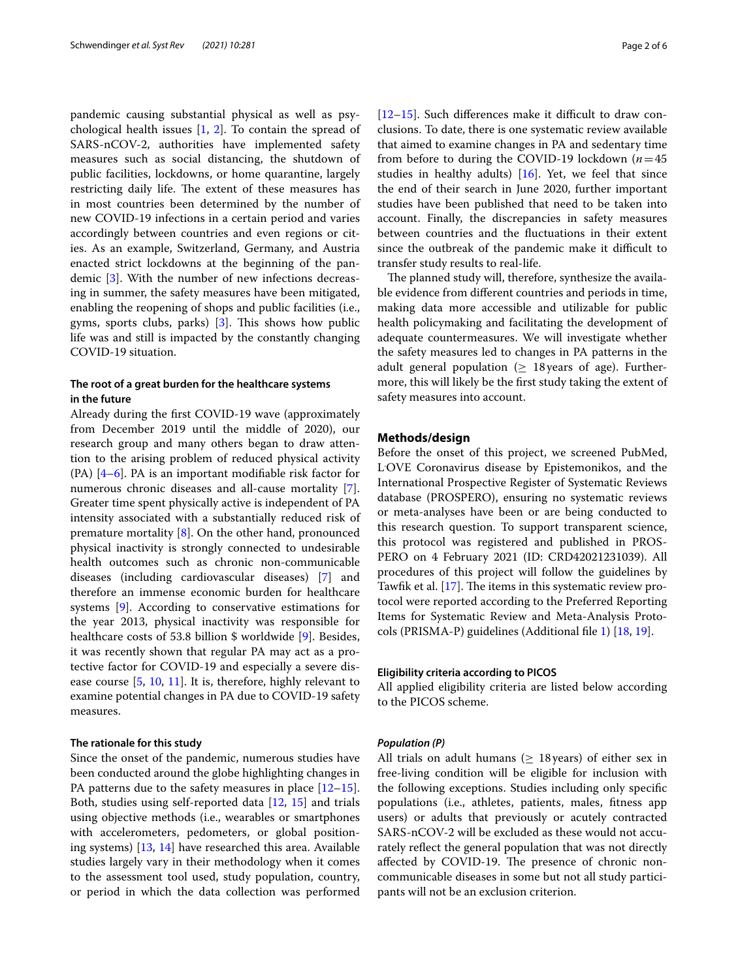pandemic causing substantial physical as well as psychological health issues  $[1, 2]$  $[1, 2]$  $[1, 2]$  $[1, 2]$  $[1, 2]$ . To contain the spread of SARS-nCOV-2, authorities have implemented safety measures such as social distancing, the shutdown of public facilities, lockdowns, or home quarantine, largely restricting daily life. The extent of these measures has in most countries been determined by the number of new COVID-19 infections in a certain period and varies accordingly between countries and even regions or cities. As an example, Switzerland, Germany, and Austria enacted strict lockdowns at the beginning of the pandemic [[3](#page-5-2)]. With the number of new infections decreasing in summer, the safety measures have been mitigated, enabling the reopening of shops and public facilities (i.e., gyms, sports clubs, parks)  $[3]$  $[3]$ . This shows how public life was and still is impacted by the constantly changing COVID-19 situation.

# **The root of a great burden for the healthcare systems in the future**

Already during the frst COVID-19 wave (approximately from December 2019 until the middle of 2020), our research group and many others began to draw attention to the arising problem of reduced physical activity (PA)  $[4-6]$  $[4-6]$ . PA is an important modifiable risk factor for numerous chronic diseases and all-cause mortality [\[7](#page-5-5)]. Greater time spent physically active is independent of PA intensity associated with a substantially reduced risk of premature mortality [[8\]](#page-5-6). On the other hand, pronounced physical inactivity is strongly connected to undesirable health outcomes such as chronic non-communicable diseases (including cardiovascular diseases) [[7\]](#page-5-5) and therefore an immense economic burden for healthcare systems [\[9](#page-5-7)]. According to conservative estimations for the year 2013, physical inactivity was responsible for healthcare costs of 53.8 billion \$ worldwide [[9\]](#page-5-7). Besides, it was recently shown that regular PA may act as a protective factor for COVID-19 and especially a severe disease course [\[5](#page-5-8), [10](#page-5-9), [11](#page-5-10)]. It is, therefore, highly relevant to examine potential changes in PA due to COVID-19 safety measures.

#### **The rationale for this study**

Since the onset of the pandemic, numerous studies have been conducted around the globe highlighting changes in PA patterns due to the safety measures in place  $[12-15]$  $[12-15]$  $[12-15]$ . Both, studies using self-reported data [[12](#page-5-11), [15\]](#page-5-12) and trials using objective methods (i.e., wearables or smartphones with accelerometers, pedometers, or global positioning systems) [\[13](#page-5-13), [14](#page-5-14)] have researched this area. Available studies largely vary in their methodology when it comes to the assessment tool used, study population, country, or period in which the data collection was performed  $[12–15]$  $[12–15]$  $[12–15]$ . Such differences make it difficult to draw conclusions. To date, there is one systematic review available that aimed to examine changes in PA and sedentary time from before to during the COVID-19 lockdown (*n*=45 studies in healthy adults)  $[16]$  $[16]$ . Yet, we feel that since the end of their search in June 2020, further important studies have been published that need to be taken into account. Finally, the discrepancies in safety measures between countries and the fuctuations in their extent since the outbreak of the pandemic make it difficult to transfer study results to real-life.

The planned study will, therefore, synthesize the available evidence from diferent countries and periods in time, making data more accessible and utilizable for public health policymaking and facilitating the development of adequate countermeasures. We will investigate whether the safety measures led to changes in PA patterns in the adult general population ( $\geq$  18 years of age). Furthermore, this will likely be the frst study taking the extent of safety measures into account.

## **Methods/design**

Before the onset of this project, we screened PubMed, L. OVE Coronavirus disease by Epistemonikos, and the International Prospective Register of Systematic Reviews database (PROSPERO), ensuring no systematic reviews or meta-analyses have been or are being conducted to this research question. To support transparent science, this protocol was registered and published in PROS-PERO on 4 February 2021 (ID: CRD42021231039). All procedures of this project will follow the guidelines by Tawfik et al.  $[17]$ . The items in this systematic review protocol were reported according to the Preferred Reporting Items for Systematic Review and Meta-Analysis Protocols (PRISMA-P) guidelines (Additional fle [1\)](#page-4-0) [\[18](#page-5-17), [19](#page-5-18)].

#### **Eligibility criteria according to PICOS**

All applied eligibility criteria are listed below according to the PICOS scheme.

#### *Population (P)*

All trials on adult humans ( $\geq$  18 years) of either sex in free-living condition will be eligible for inclusion with the following exceptions. Studies including only specifc populations (i.e., athletes, patients, males, ftness app users) or adults that previously or acutely contracted SARS-nCOV-2 will be excluded as these would not accurately refect the general population that was not directly affected by COVID-19. The presence of chronic noncommunicable diseases in some but not all study participants will not be an exclusion criterion.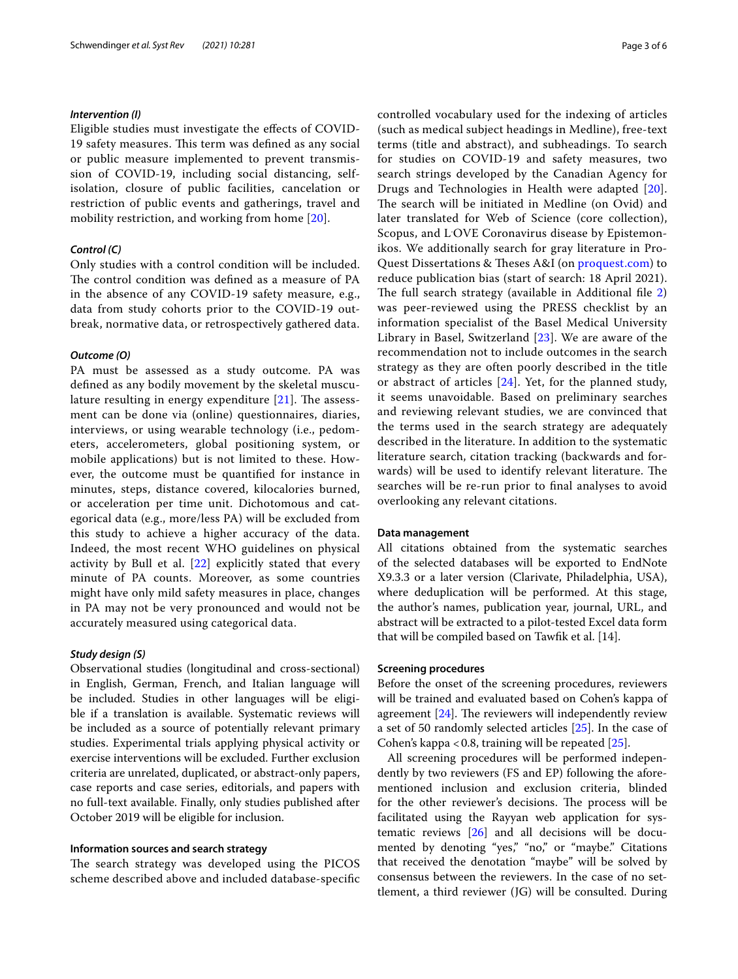## *Intervention (I)*

Eligible studies must investigate the efects of COVID-19 safety measures. This term was defined as any social or public measure implemented to prevent transmission of COVID-19, including social distancing, selfisolation, closure of public facilities, cancelation or restriction of public events and gatherings, travel and mobility restriction, and working from home [[20](#page-5-19)].

# *Control (C)*

Only studies with a control condition will be included. The control condition was defined as a measure of PA in the absence of any COVID-19 safety measure, e.g., data from study cohorts prior to the COVID-19 outbreak, normative data, or retrospectively gathered data.

#### *Outcome (O)*

PA must be assessed as a study outcome. PA was defned as any bodily movement by the skeletal musculature resulting in energy expenditure  $[21]$  $[21]$  $[21]$ . The assessment can be done via (online) questionnaires, diaries, interviews, or using wearable technology (i.e., pedometers, accelerometers, global positioning system, or mobile applications) but is not limited to these. However, the outcome must be quantifed for instance in minutes, steps, distance covered, kilocalories burned, or acceleration per time unit. Dichotomous and categorical data (e.g., more/less PA) will be excluded from this study to achieve a higher accuracy of the data. Indeed, the most recent WHO guidelines on physical activity by Bull et al.  $[22]$  $[22]$  explicitly stated that every minute of PA counts. Moreover, as some countries might have only mild safety measures in place, changes in PA may not be very pronounced and would not be accurately measured using categorical data.

### *Study design (S)*

Observational studies (longitudinal and cross-sectional) in English, German, French, and Italian language will be included. Studies in other languages will be eligible if a translation is available. Systematic reviews will be included as a source of potentially relevant primary studies. Experimental trials applying physical activity or exercise interventions will be excluded. Further exclusion criteria are unrelated, duplicated, or abstract-only papers, case reports and case series, editorials, and papers with no full-text available. Finally, only studies published after October 2019 will be eligible for inclusion.

## **Information sources and search strategy**

The search strategy was developed using the PICOS scheme described above and included database-specifc controlled vocabulary used for the indexing of articles (such as medical subject headings in Medline), free-text terms (title and abstract), and subheadings. To search for studies on COVID-19 and safety measures, two search strings developed by the Canadian Agency for Drugs and Technologies in Health were adapted [[20](#page-5-19)]. The search will be initiated in Medline (on Ovid) and later translated for Web of Science (core collection), Scopus, and L. OVE Coronavirus disease by Epistemonikos. We additionally search for gray literature in ProQuest Dissertations & Theses A&I (on [proquest.com\)](http://proquest.com) to reduce publication bias (start of search: 18 April 2021). The full search strategy (available in Additional file  $2$ ) was peer-reviewed using the PRESS checklist by an information specialist of the Basel Medical University Library in Basel, Switzerland [[23](#page-5-22)]. We are aware of the recommendation not to include outcomes in the search strategy as they are often poorly described in the title or abstract of articles [\[24\]](#page-5-23). Yet, for the planned study, it seems unavoidable. Based on preliminary searches and reviewing relevant studies, we are convinced that the terms used in the search strategy are adequately described in the literature. In addition to the systematic literature search, citation tracking (backwards and forwards) will be used to identify relevant literature. The searches will be re-run prior to fnal analyses to avoid overlooking any relevant citations.

## **Data management**

All citations obtained from the systematic searches of the selected databases will be exported to EndNote X9.3.3 or a later version (Clarivate, Philadelphia, USA), where deduplication will be performed. At this stage, the author's names, publication year, journal, URL, and abstract will be extracted to a pilot-tested Excel data form that will be compiled based on Tawfk et al. [14].

## **Screening procedures**

Before the onset of the screening procedures, reviewers will be trained and evaluated based on Cohen's kappa of agreement  $[24]$ . The reviewers will independently review a set of 50 randomly selected articles [\[25](#page-5-24)]. In the case of Cohen's kappa < 0.8, training will be repeated  $[25]$  $[25]$ .

All screening procedures will be performed independently by two reviewers (FS and EP) following the aforementioned inclusion and exclusion criteria, blinded for the other reviewer's decisions. The process will be facilitated using the Rayyan web application for systematic reviews [[26\]](#page-5-25) and all decisions will be documented by denoting "yes," "no," or "maybe." Citations that received the denotation "maybe" will be solved by consensus between the reviewers. In the case of no settlement, a third reviewer (JG) will be consulted. During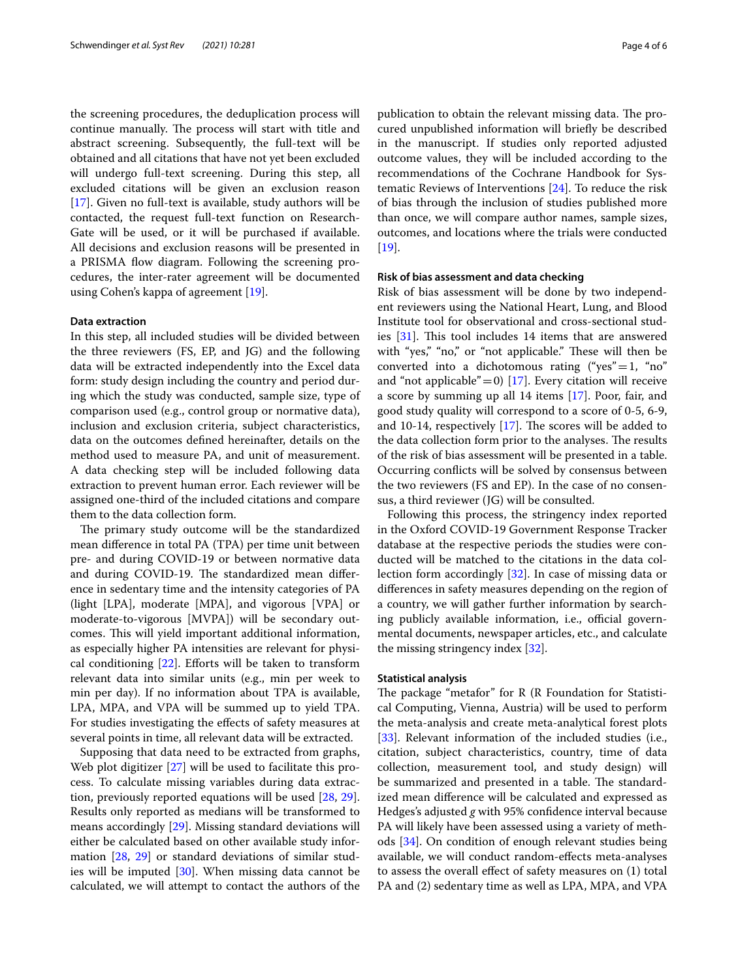the screening procedures, the deduplication process will continue manually. The process will start with title and abstract screening. Subsequently, the full-text will be obtained and all citations that have not yet been excluded will undergo full-text screening. During this step, all excluded citations will be given an exclusion reason [[17\]](#page-5-16). Given no full-text is available, study authors will be contacted, the request full-text function on Research-Gate will be used, or it will be purchased if available. All decisions and exclusion reasons will be presented in a PRISMA flow diagram. Following the screening procedures, the inter-rater agreement will be documented using Cohen's kappa of agreement [\[19\]](#page-5-18).

#### **Data extraction**

In this step, all included studies will be divided between the three reviewers (FS, EP, and JG) and the following data will be extracted independently into the Excel data form: study design including the country and period during which the study was conducted, sample size, type of comparison used (e.g., control group or normative data), inclusion and exclusion criteria, subject characteristics, data on the outcomes defned hereinafter, details on the method used to measure PA, and unit of measurement. A data checking step will be included following data extraction to prevent human error. Each reviewer will be assigned one-third of the included citations and compare them to the data collection form.

The primary study outcome will be the standardized mean diference in total PA (TPA) per time unit between pre- and during COVID-19 or between normative data and during COVID-19. The standardized mean difference in sedentary time and the intensity categories of PA (light [LPA], moderate [MPA], and vigorous [VPA] or moderate-to-vigorous [MVPA]) will be secondary outcomes. This will yield important additional information, as especially higher PA intensities are relevant for physical conditioning  $[22]$  $[22]$  $[22]$ . Efforts will be taken to transform relevant data into similar units (e.g., min per week to min per day). If no information about TPA is available, LPA, MPA, and VPA will be summed up to yield TPA. For studies investigating the effects of safety measures at several points in time, all relevant data will be extracted.

Supposing that data need to be extracted from graphs, Web plot digitizer [\[27](#page-5-26)] will be used to facilitate this process. To calculate missing variables during data extraction, previously reported equations will be used [\[28](#page-5-27), [29](#page-5-28)]. Results only reported as medians will be transformed to means accordingly [\[29](#page-5-28)]. Missing standard deviations will either be calculated based on other available study information [\[28,](#page-5-27) [29](#page-5-28)] or standard deviations of similar studies will be imputed [[30](#page-5-29)]. When missing data cannot be calculated, we will attempt to contact the authors of the publication to obtain the relevant missing data. The procured unpublished information will briefy be described in the manuscript. If studies only reported adjusted outcome values, they will be included according to the recommendations of the Cochrane Handbook for Systematic Reviews of Interventions [[24\]](#page-5-23). To reduce the risk of bias through the inclusion of studies published more than once, we will compare author names, sample sizes, outcomes, and locations where the trials were conducted [[19\]](#page-5-18).

## **Risk of bias assessment and data checking**

Risk of bias assessment will be done by two independent reviewers using the National Heart, Lung, and Blood Institute tool for observational and cross-sectional stud-ies [\[31\]](#page-5-30). This tool includes 14 items that are answered with "yes," "no," or "not applicable." These will then be converted into a dichotomous rating ("yes" = 1, "no" and "not applicable" = 0) [\[17\]](#page-5-16). Every citation will receive a score by summing up all 14 items [\[17](#page-5-16)]. Poor, fair, and good study quality will correspond to a score of 0-5, 6-9, and 10-14, respectively  $[17]$  $[17]$ . The scores will be added to the data collection form prior to the analyses. The results of the risk of bias assessment will be presented in a table. Occurring conficts will be solved by consensus between the two reviewers (FS and EP). In the case of no consensus, a third reviewer (JG) will be consulted.

Following this process, the stringency index reported in the Oxford COVID-19 Government Response Tracker database at the respective periods the studies were conducted will be matched to the citations in the data collection form accordingly [[32\]](#page-5-31). In case of missing data or diferences in safety measures depending on the region of a country, we will gather further information by searching publicly available information, i.e., official governmental documents, newspaper articles, etc., and calculate the missing stringency index [[32\]](#page-5-31).

#### **Statistical analysis**

The package "metafor" for  $R$  ( $R$  Foundation for Statistical Computing, Vienna, Austria) will be used to perform the meta-analysis and create meta-analytical forest plots [[33\]](#page-5-32). Relevant information of the included studies (i.e., citation, subject characteristics, country, time of data collection, measurement tool, and study design) will be summarized and presented in a table. The standardized mean diference will be calculated and expressed as Hedges's adjusted *g* with 95% confdence interval because PA will likely have been assessed using a variety of methods [[34](#page-5-33)]. On condition of enough relevant studies being available, we will conduct random-efects meta-analyses to assess the overall efect of safety measures on (1) total PA and (2) sedentary time as well as LPA, MPA, and VPA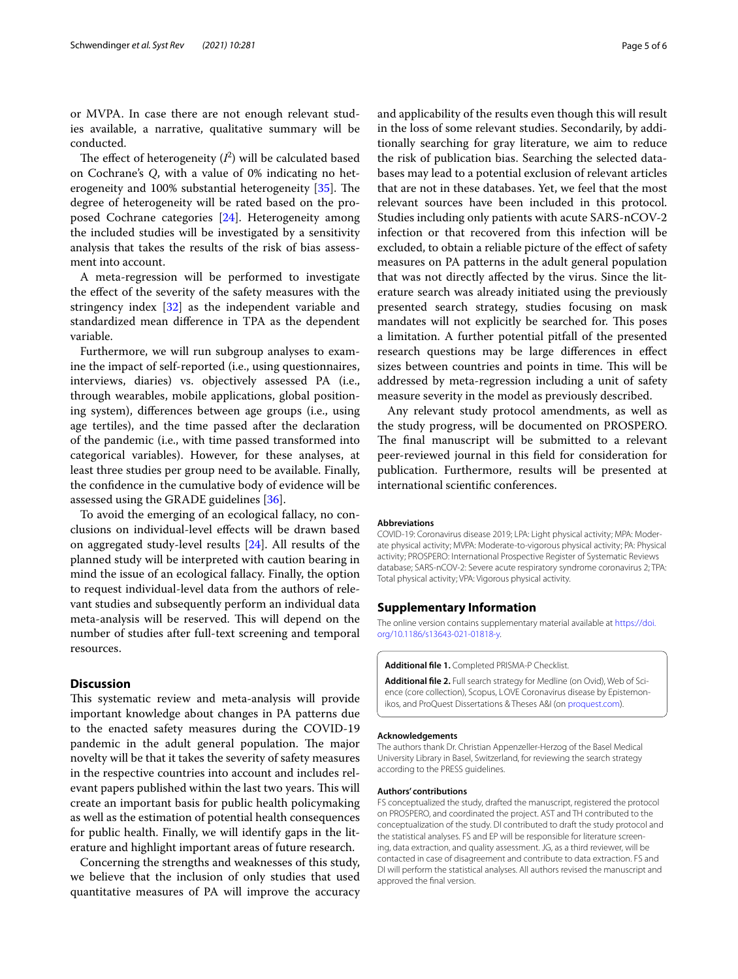or MVPA. In case there are not enough relevant studies available, a narrative, qualitative summary will be conducted.

The effect of heterogeneity  $(I^2)$  will be calculated based on Cochrane's *Q*, with a value of 0% indicating no heterogeneity and  $100\%$  substantial heterogeneity  $[35]$  $[35]$ . The degree of heterogeneity will be rated based on the proposed Cochrane categories [[24\]](#page-5-23). Heterogeneity among the included studies will be investigated by a sensitivity analysis that takes the results of the risk of bias assessment into account.

A meta-regression will be performed to investigate the efect of the severity of the safety measures with the stringency index [\[32](#page-5-31)] as the independent variable and standardized mean diference in TPA as the dependent variable.

Furthermore, we will run subgroup analyses to examine the impact of self-reported (i.e., using questionnaires, interviews, diaries) vs. objectively assessed PA (i.e., through wearables, mobile applications, global positioning system), diferences between age groups (i.e., using age tertiles), and the time passed after the declaration of the pandemic (i.e., with time passed transformed into categorical variables). However, for these analyses, at least three studies per group need to be available. Finally, the confdence in the cumulative body of evidence will be assessed using the GRADE guidelines [[36](#page-5-35)].

To avoid the emerging of an ecological fallacy, no conclusions on individual-level efects will be drawn based on aggregated study-level results [[24\]](#page-5-23). All results of the planned study will be interpreted with caution bearing in mind the issue of an ecological fallacy. Finally, the option to request individual-level data from the authors of relevant studies and subsequently perform an individual data meta-analysis will be reserved. This will depend on the number of studies after full-text screening and temporal resources.

#### **Discussion**

This systematic review and meta-analysis will provide important knowledge about changes in PA patterns due to the enacted safety measures during the COVID-19 pandemic in the adult general population. The major novelty will be that it takes the severity of safety measures in the respective countries into account and includes relevant papers published within the last two years. This will create an important basis for public health policymaking as well as the estimation of potential health consequences for public health. Finally, we will identify gaps in the literature and highlight important areas of future research.

Concerning the strengths and weaknesses of this study, we believe that the inclusion of only studies that used quantitative measures of PA will improve the accuracy and applicability of the results even though this will result in the loss of some relevant studies. Secondarily, by additionally searching for gray literature, we aim to reduce the risk of publication bias. Searching the selected databases may lead to a potential exclusion of relevant articles that are not in these databases. Yet, we feel that the most relevant sources have been included in this protocol. Studies including only patients with acute SARS-nCOV-2 infection or that recovered from this infection will be excluded, to obtain a reliable picture of the efect of safety measures on PA patterns in the adult general population that was not directly afected by the virus. Since the literature search was already initiated using the previously presented search strategy, studies focusing on mask mandates will not explicitly be searched for. This poses a limitation. A further potential pitfall of the presented research questions may be large diferences in efect sizes between countries and points in time. This will be addressed by meta-regression including a unit of safety measure severity in the model as previously described.

Any relevant study protocol amendments, as well as the study progress, will be documented on PROSPERO. The final manuscript will be submitted to a relevant peer-reviewed journal in this feld for consideration for publication. Furthermore, results will be presented at international scientifc conferences.

#### **Abbreviations**

COVID-19: Coronavirus disease 2019; LPA: Light physical activity; MPA: Moderate physical activity; MVPA: Moderate-to-vigorous physical activity; PA: Physical activity; PROSPERO: International Prospective Register of Systematic Reviews database; SARS-nCOV-2: Severe acute respiratory syndrome coronavirus 2; TPA: Total physical activity; VPA: Vigorous physical activity.

## **Supplementary Information**

The online version contains supplementary material available at [https://doi.](https://doi.org/10.1186/s13643-021-01818-y) [org/10.1186/s13643-021-01818-y.](https://doi.org/10.1186/s13643-021-01818-y)

<span id="page-4-1"></span><span id="page-4-0"></span>**Additional fle 1.** Completed PRISMA-P Checklist.

Additional file 2. Full search strategy for Medline (on Ovid), Web of Science (core collection), Scopus, LOVE Coronavirus disease by Epistemonikos, and ProQuest Dissertations & Theses A&I (on [proquest.com](http://proquest.com)).

#### **Acknowledgements**

The authors thank Dr. Christian Appenzeller-Herzog of the Basel Medical University Library in Basel, Switzerland, for reviewing the search strategy according to the PRESS guidelines.

#### **Authors' contributions**

FS conceptualized the study, drafted the manuscript, registered the protocol on PROSPERO, and coordinated the project. AST and TH contributed to the conceptualization of the study. DI contributed to draft the study protocol and the statistical analyses. FS and EP will be responsible for literature screening, data extraction, and quality assessment. JG, as a third reviewer, will be contacted in case of disagreement and contribute to data extraction. FS and DI will perform the statistical analyses. All authors revised the manuscript and approved the fnal version.